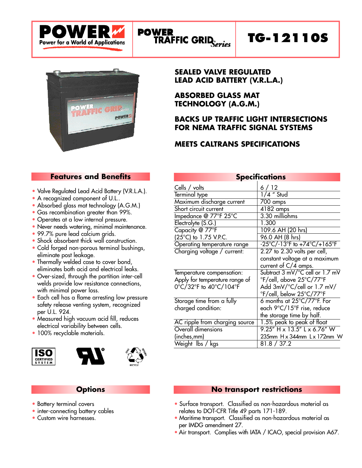

# **TG-12110S**



#### **SEALED VALVE REGULATED LEAD ACID BATTERY (V.R.L.A.)**

**ABSORBED GLASS MAT TECHNOLOGY (A.G.M.)**

### **BACKS UP TRAFFIC LIGHT INTERSECTIONS FOR NEMA TRAFFIC SIGNAL SYSTEMS**

## **MEETS CALTRANS SPECIFICATIONS**

### **Features and Benefits**

- Valve Regulated Lead Acid Battery (V.R.L.A.).
- A recognized component of U.L..
- Absorbed glass mat technology (A.G.M.)
- Gas recombination greater than 99%.
- Operates at a low internal pressure.
- Never needs watering, minimal maintenance.
- 99.7% pure lead calcium grids.
- Shock absorbent thick wall construction.
- Cold forged non-porous terminal bushings, eliminate post leakage.
- Thermally welded case to cover bond, eliminates both acid and electrical leaks.
- Over-sized, through the partition inter-cell welds provide low resistance connections, with minimal power loss.
- Each cell has a flame arresting low pressure safety release venting system, recognized per U.L. 924.
- Measured high vacuum acid fill, reduces electrical variability between cells.
- 100% recyclable materials.







### **Options**

- Battery terminal covers
- inter-connecting battery cables
- Custom wire harnesses.

| <b>Specifications</b>          |                                                                       |  |  |  |  |  |  |
|--------------------------------|-----------------------------------------------------------------------|--|--|--|--|--|--|
| Cells / volts                  | 6/12                                                                  |  |  |  |  |  |  |
| Terminal type                  | $1/4$ " Stud                                                          |  |  |  |  |  |  |
| Maximum discharge current      | 700 amps                                                              |  |  |  |  |  |  |
| Short circuit current          | 4182 amps                                                             |  |  |  |  |  |  |
| Impedance @ 77°F 25°C          | 3.30 milliohms                                                        |  |  |  |  |  |  |
| Electrolyte (S.G.)             | 1.300                                                                 |  |  |  |  |  |  |
| Capacity @ 77°F                | 109.6 AH (20 hrs)                                                     |  |  |  |  |  |  |
| (25°C) to 1.75 V.P.C.          | 96.0 AH (8 hrs)                                                       |  |  |  |  |  |  |
| Operating temperature range    | $-25^{\circ}$ C/ $-13^{\circ}$ F to $+74^{\circ}$ C/ $+165^{\circ}$ F |  |  |  |  |  |  |
| Charging voltage / current:    | 2.27 to 2.30 volts per cell,                                          |  |  |  |  |  |  |
|                                | constant voltage at a maximum                                         |  |  |  |  |  |  |
|                                | current of C/4 amps.                                                  |  |  |  |  |  |  |
| Temperature compensation:      | Subtract 3 mV/°C cell or 1.7 mV                                       |  |  |  |  |  |  |
| Apply for temperature range of | °F/cell, above 25°C/77°F                                              |  |  |  |  |  |  |
| 0°C/32°F to 40°C/104°F         | Add 3mV/°C/cell or 1.7 mV/                                            |  |  |  |  |  |  |
|                                | °F/cell, below 25°C/77°F                                              |  |  |  |  |  |  |
| Storage time from a fully      | 6 months at 25°C/77°F. For                                            |  |  |  |  |  |  |
| charged condition:             | each 9°C/15°F rise, reduce                                            |  |  |  |  |  |  |
|                                | the storage time by half.                                             |  |  |  |  |  |  |
| AC ripple from charging source | 1.5% peak to peak of float                                            |  |  |  |  |  |  |
| Overall dimensions             | $9.25''$ H x $13.5''$ L x 6.76" W                                     |  |  |  |  |  |  |
| (inches,mm)                    | 235mm H x 344mm L x 172mm W                                           |  |  |  |  |  |  |
| Weight Ibs / kgs               | 81.8 / 37.2                                                           |  |  |  |  |  |  |

#### **No transport restrictions**

- Surface transport. Classified as non-hazardous material as relates to DOT-CFR Title 49 parts 171-189.
- Maritime transport. Classified as non-hazardous material as per IMDG amendment 27.
- Air transport. Complies with IATA / ICAO, special provision A67.